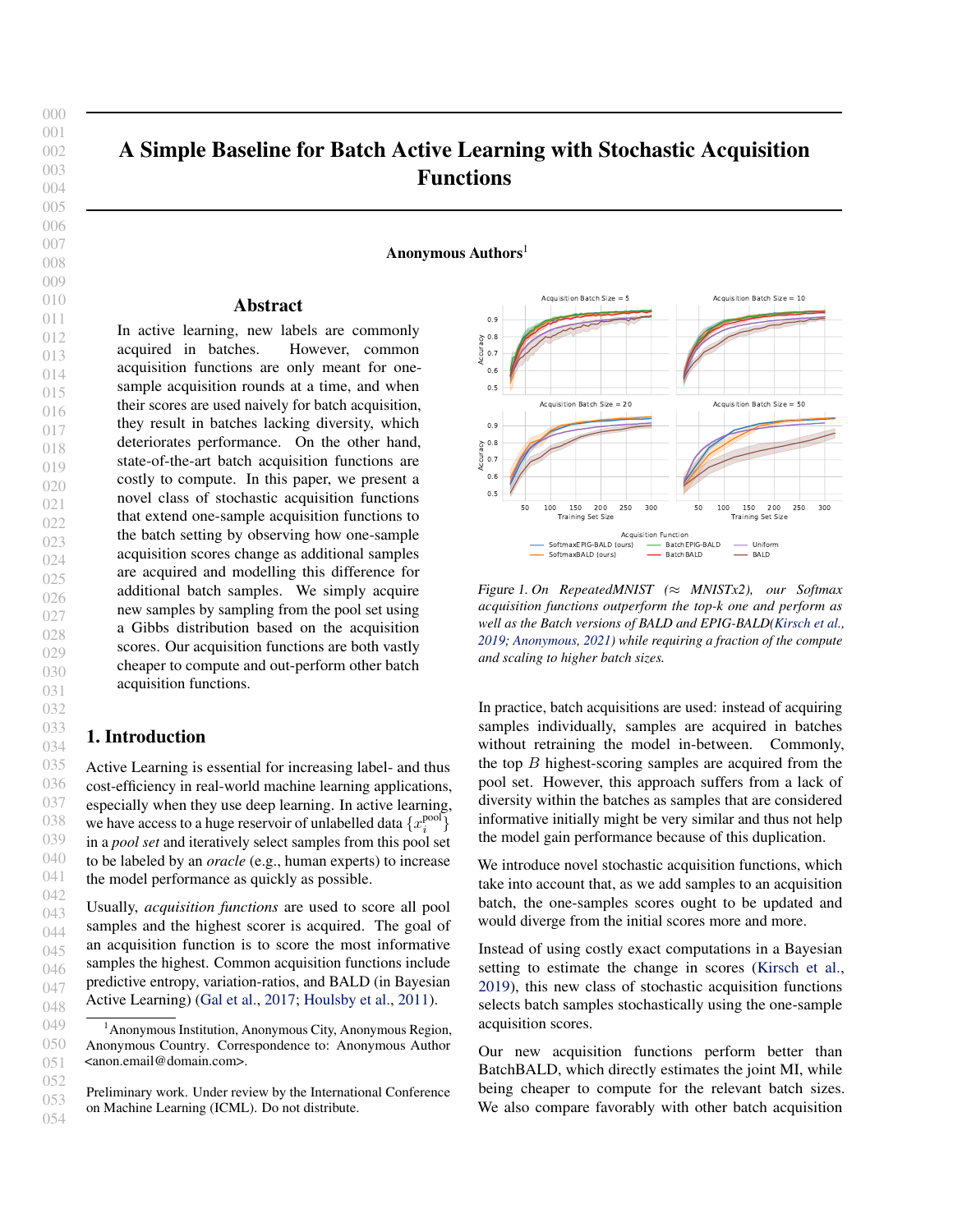<span id="page-0-0"></span>000

# A Simple Baseline for Batch Active Learning with Stochastic Acquisition Functions

Anonymous Authors<sup>1</sup>

#### Abstract

In active learning, new labels are commonly acquired in batches. However, common acquisition functions are only meant for onesample acquisition rounds at a time, and when their scores are used naively for batch acquisition, they result in batches lacking diversity, which deteriorates performance. On the other hand, state-of-the-art batch acquisition functions are costly to compute. In this paper, we present a novel class of stochastic acquisition functions that extend one-sample acquisition functions to the batch setting by observing how one-sample acquisition scores change as additional samples are acquired and modelling this difference for additional batch samples. We simply acquire new samples by sampling from the pool set using a Gibbs distribution based on the acquisition scores. Our acquisition functions are both vastly cheaper to compute and out-perform other batch acquisition functions.

## 1. Introduction

Active Learning is essential for increasing label- and thus cost-efficiency in real-world machine learning applications, especially when they use deep learning. In active learning, we have access to a huge reservoir of unlabelled data  $\{x_i^{\text{pool}}\}$ in a *pool set* and iteratively select samples from this pool set to be labeled by an *oracle* (e.g., human experts) to increase the model performance as quickly as possible.

Usually, *acquisition functions* are used to score all pool samples and the highest scorer is acquired. The goal of an acquisition function is to score the most informative samples the highest. Common acquisition functions include predictive entropy, variation-ratios, and BALD (in Bayesian Active Learning) [\(Gal et al.,](#page-4-0) [2017;](#page-4-0) [Houlsby et al.,](#page-4-0) [2011\)](#page-4-0).



Figure 1. *On RepeatedMNIST (*≈ *MNISTx2), our Softmax acquisition functions outperform the top-k one and perform as well as the Batch versions of BALD and EPIG-BALD[\(Kirsch et al.,](#page-4-0) [2019;](#page-4-0) [Anonymous,](#page-4-0) [2021\)](#page-4-0) while requiring a fraction of the compute and scaling to higher batch sizes.*

In practice, batch acquisitions are used: instead of acquiring samples individually, samples are acquired in batches without retraining the model in-between. Commonly, the top  $B$  highest-scoring samples are acquired from the pool set. However, this approach suffers from a lack of diversity within the batches as samples that are considered informative initially might be very similar and thus not help the model gain performance because of this duplication.

We introduce novel stochastic acquisition functions, which take into account that, as we add samples to an acquisition batch, the one-samples scores ought to be updated and would diverge from the initial scores more and more.

Instead of using costly exact computations in a Bayesian setting to estimate the change in scores [\(Kirsch et al.,](#page-4-0) [2019\)](#page-4-0), this new class of stochastic acquisition functions selects batch samples stochastically using the one-sample acquisition scores.

Our new acquisition functions perform better than BatchBALD, which directly estimates the joint MI, while being cheaper to compute for the relevant batch sizes. We also compare favorably with other batch acquisition

<sup>&</sup>lt;sup>1</sup> Anonymous Institution, Anonymous City, Anonymous Region, Anonymous Country. Correspondence to: Anonymous Author <anon.email@domain.com>.

Preliminary work. Under review by the International Conference on Machine Learning (ICML). Do not distribute.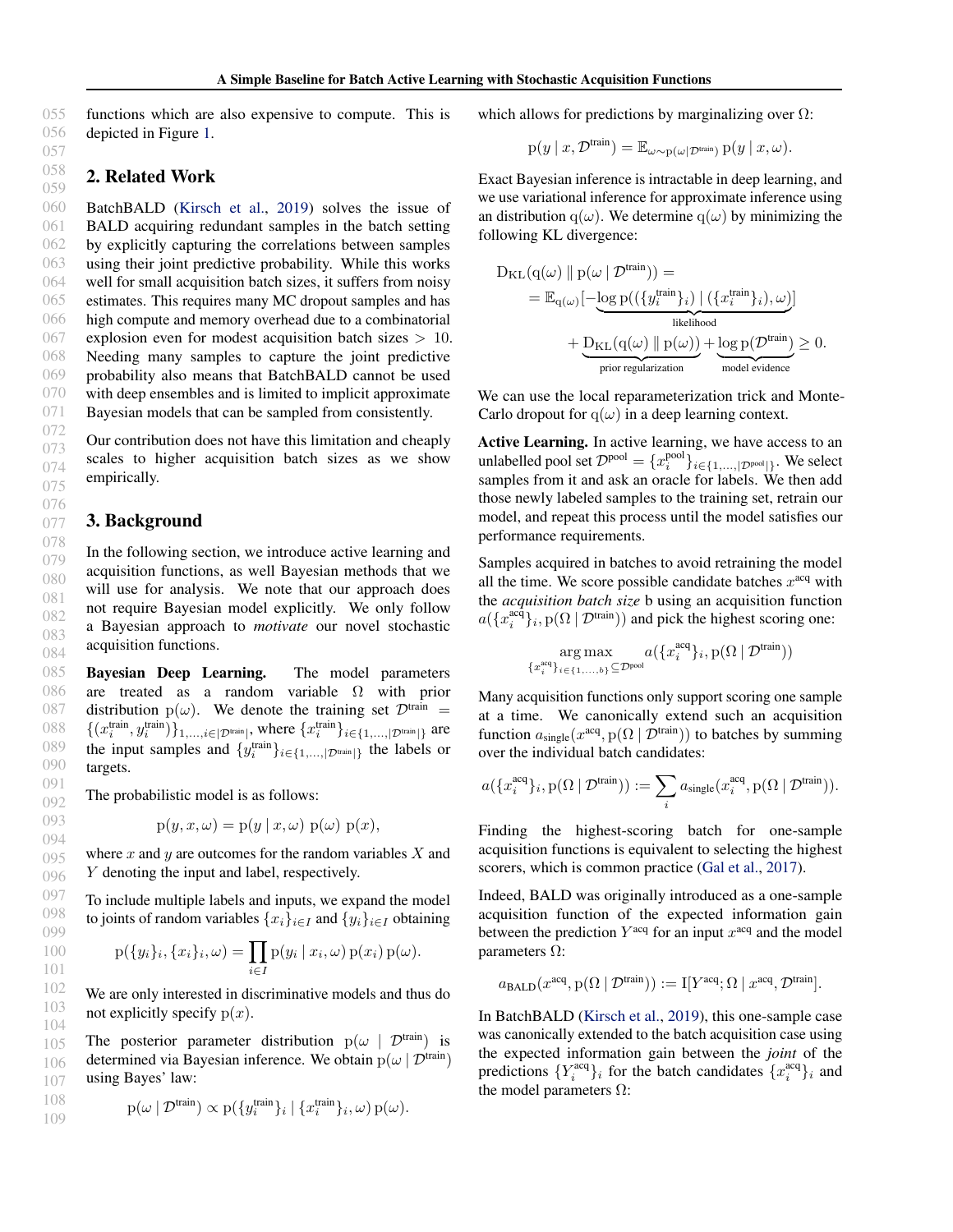055 056 functions which are also expensive to compute. This is depicted in Figure [1.](#page-0-0)

## 2. Related Work

BatchBALD [\(Kirsch et al.,](#page-4-0) [2019\)](#page-4-0) solves the issue of BALD acquiring redundant samples in the batch setting by explicitly capturing the correlations between samples using their joint predictive probability. While this works well for small acquisition batch sizes, it suffers from noisy estimates. This requires many MC dropout samples and has high compute and memory overhead due to a combinatorial explosion even for modest acquisition batch sizes  $> 10$ . Needing many samples to capture the joint predictive probability also means that BatchBALD cannot be used with deep ensembles and is limited to implicit approximate Bayesian models that can be sampled from consistently.

Our contribution does not have this limitation and cheaply scales to higher acquisition batch sizes as we show empirically.

#### 3. Background

In the following section, we introduce active learning and acquisition functions, as well Bayesian methods that we will use for analysis. We note that our approach does not require Bayesian model explicitly. We only follow a Bayesian approach to *motivate* our novel stochastic acquisition functions.

Bayesian Deep Learning. The model parameters are treated as a random variable  $\Omega$  with prior distribution  $p(\omega)$ . We denote the training set  $\mathcal{D}^{train}$  =  $\{(x_i^{\text{train}}, y_i^{\text{train}})\}_{1,\ldots,i \in |\mathcal{D}^{\text{train}}|}$ , where  $\{x_i^{\text{train}}\}_{i \in \{1,\ldots,|\mathcal{D}^{\text{train}}|\}}$  are the input samples and  $\{y_i^{\text{train}}\}_{i \in \{1,\dots,|\mathcal{D}^{\text{train}}|\}}$  the labels or targets.

The probabilistic model is as follows:

$$
p(y, x, \omega) = p(y | x, \omega) p(\omega) p(x),
$$

where  $x$  and  $y$  are outcomes for the random variables  $X$  and Y denoting the input and label, respectively.

To include multiple labels and inputs, we expand the model to joints of random variables  $\{x_i\}_{i\in I}$  and  $\{y_i\}_{i\in I}$  obtaining

$$
p({y_i}_i, {x_i}_i, \omega) = \prod_{i \in I} p(y_i | x_i, \omega) p(x_i) p(\omega).
$$

We are only interested in discriminative models and thus do not explicitly specify  $p(x)$ .

105 106 107 The posterior parameter distribution  $p(\omega \mid \mathcal{D}^{train})$  is determined via Bayesian inference. We obtain  $p(\omega | \mathcal{D}^{\text{train}})$ using Bayes' law:

$$
108 \quad p(\omega \mid \mathcal{D}^{\text{train}}) \propto p(\{y_i^{\text{train}}\}_i \mid \{x_i^{\text{train}}\}_i, \omega) p(\omega).
$$

which allows for predictions by marginalizing over  $\Omega$ :

$$
p(y \mid x, \mathcal{D}^{\text{train}}) = \mathbb{E}_{\omega \sim p(\omega \mid \mathcal{D}^{\text{train}})} p(y \mid x, \omega).
$$

Exact Bayesian inference is intractable in deep learning, and we use variational inference for approximate inference using an distribution q( $\omega$ ). We determine q( $\omega$ ) by minimizing the following KL divergence:

$$
D_{\mathrm{KL}}(q(\omega) \parallel p(\omega \mid \mathcal{D}^{\mathrm{train}})) =
$$
  
=  $\mathbb{E}_{q(\omega)}[-\underbrace{\log p((\{y_i^{\mathrm{train}}\}_i) \mid (\{x_i^{\mathrm{train}}\}_i), \omega)}_{\text{likelihood}}]$   
+  $\underbrace{D_{\mathrm{KL}}(q(\omega) \parallel p(\omega))}_{\text{prior regularization}} + \underbrace{\log p(\mathcal{D}^{\mathrm{train}})}_{\text{model evidence}} \geq 0.$ 

We can use the local reparameterization trick and Monte-Carlo dropout for  $q(\omega)$  in a deep learning context.

Active Learning. In active learning, we have access to an unlabelled pool set  $\mathcal{D}^{\text{pool}} = \{x_i^{\text{pool}}\}_{i \in \{1, ..., |\mathcal{D}^{\text{pool}}|\}}$ . We select samples from it and ask an oracle for labels. We then add those newly labeled samples to the training set, retrain our model, and repeat this process until the model satisfies our performance requirements.

Samples acquired in batches to avoid retraining the model all the time. We score possible candidate batches  $x^{\text{acq}}$  with the *acquisition batch size* b using an acquisition function  $a(\lbrace x_i^{\text{ac}\hat{q}} \rbrace_i, \text{p}(\Omega \mid \mathcal{D}^{\text{train}}))$  and pick the highest scoring one:

$$
\mathop{\arg\max}\limits_{\{x_i^{\text{acq}}\}_{i \in \{1,...,b\}} \subseteq \mathcal{D}^{\text{pool}}} a(\{x_i^{\text{acq}}\}_i, \text{p}(\Omega \mid \mathcal{D}^{\text{train}}))
$$

Many acquisition functions only support scoring one sample at a time. We canonically extend such an acquisition function  $a_{\text{single}}(x^{\text{acq}}, p(\Omega \mid \mathcal{D}^{\text{train}}))$  to batches by summing over the individual batch candidates:

$$
a(\{x_i^{\text{acq}}\}_i, \text{p}(\Omega \mid \mathcal{D}^{\text{train}})) := \sum_i a_{\text{single}}(x_i^{\text{acq}}, \text{p}(\Omega \mid \mathcal{D}^{\text{train}})).
$$

Finding the highest-scoring batch for one-sample acquisition functions is equivalent to selecting the highest scorers, which is common practice [\(Gal et al.,](#page-4-0) [2017\)](#page-4-0).

Indeed, BALD was originally introduced as a one-sample acquisition function of the expected information gain between the prediction  $Y^{\text{acq}}$  for an input  $x^{\text{acq}}$  and the model parameters  $Ω$ :

$$
a_{\text{BALD}}(x^{\text{acq}}, p(\Omega \mid \mathcal{D}^{\text{train}})) := \mathbf{I}[Y^{\text{acq}}; \Omega \mid x^{\text{acq}}, \mathcal{D}^{\text{train}}].
$$

In BatchBALD [\(Kirsch et al.,](#page-4-0) [2019\)](#page-4-0), this one-sample case was canonically extended to the batch acquisition case using the expected information gain between the *joint* of the predictions  $\{Y_i^{\text{acq}}\}_i$  for the batch candidates  $\{x_i^{\text{acq}}\}_i$  and the model parameters  $\Omega$ :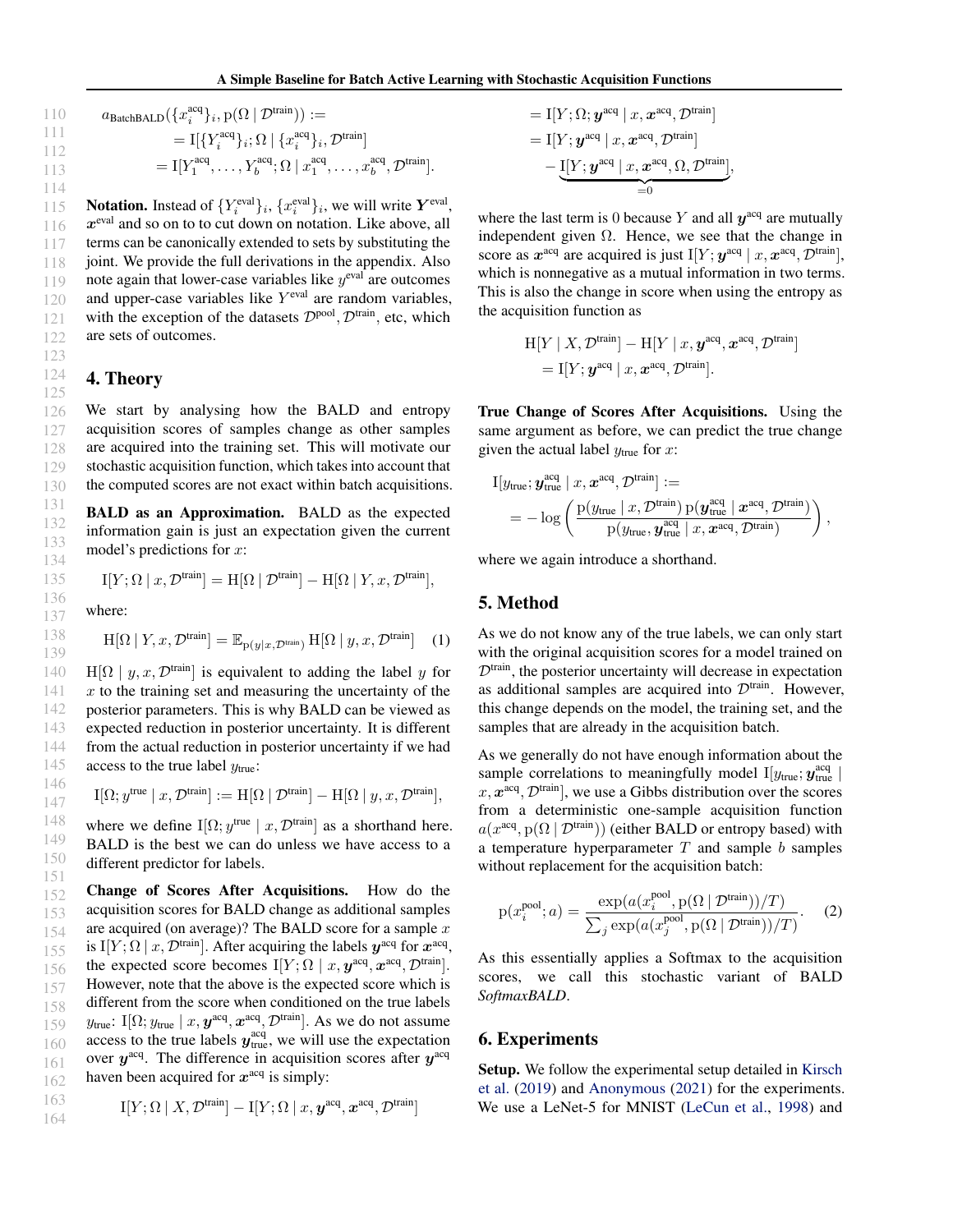110 
$$
a_{\text{BatchBALD}}(\lbrace x_i^{\text{acq}} \rbrace_i, p(\Omega \mid \mathcal{D}^{\text{train}})) :=
$$
  
\n111  $= \mathbb{I}[\lbrace Y_i^{\text{acq}} \rbrace_i; \Omega \mid \lbrace x_i^{\text{acq}} \rbrace_i, \mathcal{D}^{\text{train}}]$   
\n112  $= \mathbb{I}[Y_1^{\text{acq}}, \dots, Y_b^{\text{acq}}; \Omega \mid x_1^{\text{acq}}, \dots, x_b^{\text{acq}}, \mathcal{D}^{\text{train}}].$ 

122 **Notation.** Instead of  $\{Y_i^{\text{eval}}\}_i$ ,  $\{x_i^{\text{eval}}\}_i$ , we will write  $Y^{\text{eval}}$ ,  $x^{\text{eval}}$  and so on to to cut down on notation. Like above, all terms can be canonically extended to sets by substituting the joint. We provide the full derivations in the appendix. Also note again that lower-case variables like  $y^{\text{eval}}$  are outcomes and upper-case variables like  $Y^{\text{eval}}$  are random variables, with the exception of the datasets  $\mathcal{D}^{\text{pool}}, \mathcal{D}^{\text{train}},$  etc, which are sets of outcomes.

#### 4. Theory

123 124 125

127

141 142 143

145 146 147

126 128 129 130 We start by analysing how the BALD and entropy acquisition scores of samples change as other samples are acquired into the training set. This will motivate our stochastic acquisition function, which takes into account that the computed scores are not exact within batch acquisitions.

BALD as an Approximation. BALD as the expected information gain is just an expectation given the current model's predictions for x:

$$
\mathcal{I}[Y; \Omega \mid x, \mathcal{D}^{\text{train}}] = \mathcal{H}[\Omega \mid \mathcal{D}^{\text{train}}] - \mathcal{H}[\Omega \mid Y, x, \mathcal{D}^{\text{train}}],
$$

where:

$$
H[\Omega | Y, x, \mathcal{D}^{\text{train}}] = \mathbb{E}_{p(y|x, \mathcal{D}^{\text{train}})} H[\Omega | y, x, \mathcal{D}^{\text{train}}]
$$
(1)

140 144  $H[\Omega | y, x, \mathcal{D}^{\text{train}}]$  is equivalent to adding the label y for  $x$  to the training set and measuring the uncertainty of the posterior parameters. This is why BALD can be viewed as expected reduction in posterior uncertainty. It is different from the actual reduction in posterior uncertainty if we had access to the true label  $y_{true}$ :

$$
\mathrm{I}[\Omega;y^{\mathrm{true}}\mid x,\mathcal{D}^{\mathrm{train}}]:=\mathrm{H}[\Omega\mid\mathcal{D}^{\mathrm{train}}]-\mathrm{H}[\Omega\mid y,x,\mathcal{D}^{\mathrm{train}}],
$$

148 149 150 151 where we define  $I[\Omega; y^{\text{true}} \mid x, \mathcal{D}^{\text{train}}]$  as a shorthand here. BALD is the best we can do unless we have access to a different predictor for labels.

152 153 154 155 156 157 158 159 160 161 162 Change of Scores After Acquisitions. How do the acquisition scores for BALD change as additional samples are acquired (on average)? The BALD score for a sample  $x$ is I[Y;  $\Omega \mid x, \mathcal{D}^{\text{train}}$ ]. After acquiring the labels  $y^{\text{acq}}$  for  $x^{\text{acq}}$ , the expected score becomes  $I[Y; \Omega \mid x, \mathbf{y}^{\text{acq}}, \mathbf{x}^{\text{acq}}, \mathcal{D}^{\text{train}}].$ However, note that the above is the expected score which is different from the score when conditioned on the true labels  $y_{\text{true}}$ : I[ $\Omega$ ;  $y_{\text{true}} \mid x, \boldsymbol{y}^{\text{acq}}, \boldsymbol{x}^{\text{acq}}, \mathcal{D}^{\text{train}}$ ]. As we do not assume access to the true labels  $y_{\text{true}}^{\text{acq}}$ , we will use the expectation over  $y^{\text{acq}}$ . The difference in acquisition scores after  $y^{\text{acq}}$ haven been acquired for  $x^{\text{acq}}$  is simply:

$$
\begin{aligned} \mathbf{I}^{163} \qquad \qquad \mathbf{I}[Y; \Omega \mid X, \mathcal{D}^{\text{train}}] - \mathbf{I}[Y; \Omega \mid x, \mathbf{y}^{\text{acq}}, \mathbf{x}^{\text{acq}}, \mathcal{D}^{\text{train}}] \end{aligned}
$$

$$
= \mathbb{I}[Y; \Omega; \mathbf{y}^{\text{acq}} | x, \mathbf{x}^{\text{acq}}, \mathcal{D}^{\text{train}}]
$$
  
\n
$$
= \mathbb{I}[Y; \mathbf{y}^{\text{acq}} | x, \mathbf{x}^{\text{acq}}, \mathcal{D}^{\text{train}}]
$$
  
\n
$$
- \underbrace{\mathbb{I}[Y; \mathbf{y}^{\text{acq}} | x, \mathbf{x}^{\text{acq}}, \Omega, \mathcal{D}^{\text{train}}]}_{=0},
$$

where the last term is 0 because Y and all  $y^{\text{acq}}$  are mutually independent given  $\Omega$ . Hence, we see that the change in score as  $x^{\text{acq}}$  are acquired is just I[Y;  $y^{\text{acq}} | x, x^{\text{acq}}, \mathcal{D}^{\text{train}}$ ], which is nonnegative as a mutual information in two terms. This is also the change in score when using the entropy as the acquisition function as

$$
H[Y | X, \mathcal{D}^{train}] - H[Y | x, \mathbf{y}^{\text{acq}}, \mathbf{x}^{\text{acq}}, \mathcal{D}^{\text{train}}]
$$
  
= I[Y;  $\mathbf{y}^{\text{acq}} | x, \mathbf{x}^{\text{acq}}, \mathcal{D}^{\text{train}}].$ 

True Change of Scores After Acquisitions. Using the same argument as before, we can predict the true change given the actual label  $y_{true}$  for x:

$$
\begin{split} \mathrm{I}[y_\text{true};\pmb{y}_\text{true}^\text{acq} \mid x, \pmb{x}^\text{acq}, \mathcal{D}^\text{train}] &:= \\ &=-\log\left(\frac{\mathrm{p}(y_\text{true} \mid x, \mathcal{D}^\text{train}) \, \mathrm{p}(\pmb{y}_\text{true}^\text{acq} \mid \pmb{x}^\text{acq}, \mathcal{D}^\text{train})}{\mathrm{p}(y_\text{true},\pmb{y}_\text{true}^\text{acq} \mid x, \pmb{x}^\text{acq}, \mathcal{D}^\text{train})}\right), \end{split}
$$

where we again introduce a shorthand.

#### 5. Method

As we do not know any of the true labels, we can only start with the original acquisition scores for a model trained on  $\mathcal{D}^{train}$ , the posterior uncertainty will decrease in expectation as additional samples are acquired into  $\mathcal{D}^{train}$ . However, this change depends on the model, the training set, and the samples that are already in the acquisition batch.

As we generally do not have enough information about the sample correlations to meaningfully model  $I[y_{true}; y_{true}^{acq}]$  $x, x^{\text{acq}}, \mathcal{D}^{\text{train}}$ , we use a Gibbs distribution over the scores from a deterministic one-sample acquisition function  $a(x^{\text{acq}}, p(\Omega \mid \mathcal{D}^{\text{train}}))$  (either BALD or entropy based) with a temperature hyperparameter  $T$  and sample  $b$  samples without replacement for the acquisition batch:

$$
p(x_i^{\text{pool}}; a) = \frac{\exp(a(x_i^{\text{pool}}, p(\Omega \mid \mathcal{D}^{\text{train}}))/T)}{\sum_j \exp(a(x_j^{\text{pool}}, p(\Omega \mid \mathcal{D}^{\text{train}}))/T)}.
$$
 (2)

As this essentially applies a Softmax to the acquisition scores, we call this stochastic variant of BALD *SoftmaxBALD*.

#### 6. Experiments

Setup. We follow the experimental setup detailed in [Kirsch](#page-4-0) [et al.](#page-4-0) [\(2019\)](#page-4-0) and [Anonymous](#page-4-0) [\(2021\)](#page-4-0) for the experiments. We use a LeNet-5 for MNIST [\(LeCun et al.,](#page-4-0) [1998\)](#page-4-0) and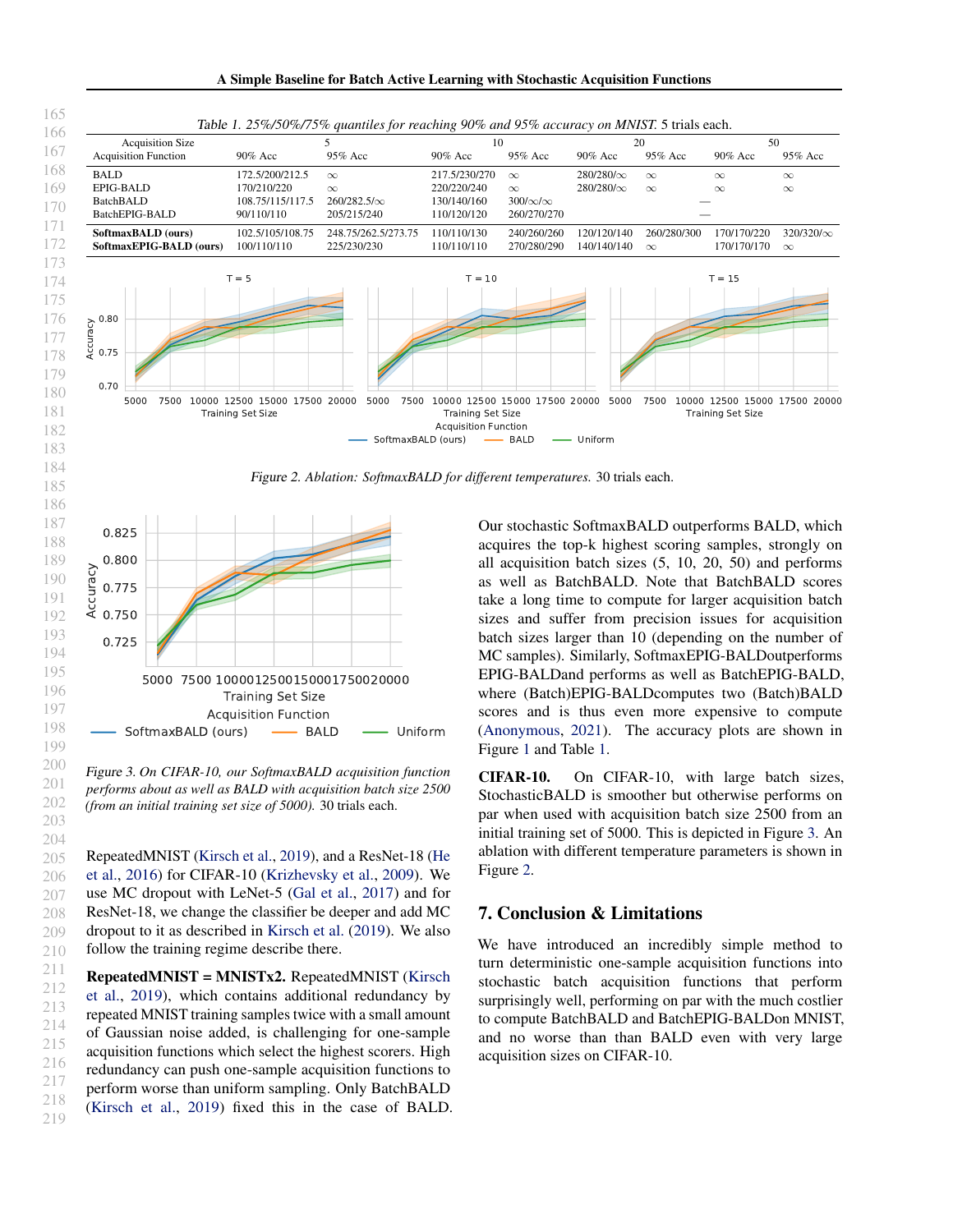

Figure 3. *On CIFAR-10, our SoftmaxBALD acquisition function performs about as well as BALD with acquisition batch size 2500 (from an initial training set size of 5000).* 30 trials each.

RepeatedMNIST [\(Kirsch et al.,](#page-4-0) [2019\)](#page-4-0), and a ResNet-18 [\(He](#page-4-0) [et al.,](#page-4-0) [2016\)](#page-4-0) for CIFAR-10 [\(Krizhevsky et al.,](#page-4-0) [2009\)](#page-4-0). We use MC dropout with LeNet-5 [\(Gal et al.,](#page-4-0) [2017\)](#page-4-0) and for ResNet-18, we change the classifier be deeper and add MC dropout to it as described in [Kirsch et al.](#page-4-0) [\(2019\)](#page-4-0). We also follow the training regime describe there.

RepeatedMNIST = MNISTx2. RepeatedMNIST [\(Kirsch](#page-4-0) [et al.,](#page-4-0) [2019\)](#page-4-0), which contains additional redundancy by repeated MNIST training samples twice with a small amount of Gaussian noise added, is challenging for one-sample acquisition functions which select the highest scorers. High redundancy can push one-sample acquisition functions to perform worse than uniform sampling. Only BatchBALD [\(Kirsch et al.,](#page-4-0) [2019\)](#page-4-0) fixed this in the case of BALD. acquires the top-k highest scoring samples, strongly on as well as BatchBALD. Note that BatchBALD scores take a long time to compute for larger acquisition batch MC samples). Similarly, SoftmaxEPIG-BALDoutperforms EPIG-BALDand performs as well as BatchEPIG-BALD, scores and is thus even more expensive to compute [\(Anonymous,](#page-4-0) [2021\)](#page-4-0). The accuracy plots are shown in Figure [1](#page-0-0) and Table 1.

CIFAR-10. On CIFAR-10, with large batch sizes, StochasticBALD is smoother but otherwise performs on par when used with acquisition batch size 2500 from an initial training set of 5000. This is depicted in Figure 3. An ablation with different temperature parameters is shown in Figure 2.

#### 7. Conclusion & Limitations

We have introduced an incredibly simple method to turn deterministic one-sample acquisition functions into stochastic batch acquisition functions that perform surprisingly well, performing on par with the much costlier to compute BatchBALD and BatchEPIG-BALDon MNIST, and no worse than than BALD even with very large acquisition sizes on CIFAR-10.